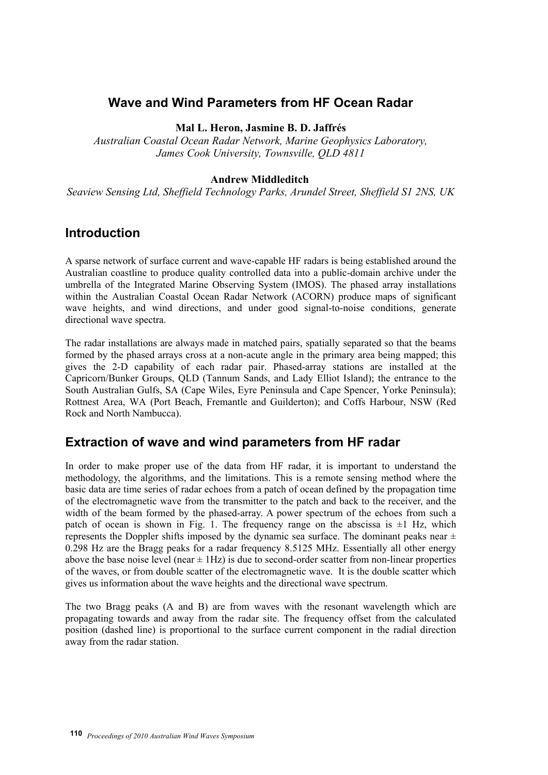# **Wave and Wind Parameters from HF Ocean Radar**

#### **Mal L. Heron, Jasmine B. D. Jaffrés**

*Australian Coastal Ocean Radar Network, Marine Geophysics Laboratory, James Cook University, Townsville, QLD 4811* 

#### **Andrew Middleditch**

*Seaview Sensing Ltd, Sheffield Technology Parks, Arundel Street, Sheffield S1 2NS, UK*

### **Introduction**

A sparse network of surface current and wave-capable HF radars is being established around the Australian coastline to produce quality controlled data into a public-domain archive under the umbrella of the Integrated Marine Observing System (IMOS). The phased array installations within the Australian Coastal Ocean Radar Network (ACORN) produce maps of significant wave heights, and wind directions, and under good signal-to-noise conditions, generate directional wave spectra.

The radar installations are always made in matched pairs, spatially separated so that the beams formed by the phased arrays cross at a non-acute angle in the primary area being mapped; this gives the 2-D capability of each radar pair. Phased-array stations are installed at the Capricorn/Bunker Groups, QLD (Tannum Sands, and Lady Elliot Island); the entrance to the South Australian Gulfs, SA (Cape Wiles, Eyre Peninsula and Cape Spencer, Yorke Peninsula); Rottnest Area, WA (Port Beach, Fremantle and Guilderton); and Coffs Harbour, NSW (Red Rock and North Nambucca).

## **Extraction of wave and wind parameters from HF radar**

In order to make proper use of the data from HF radar, it is important to understand the methodology, the algorithms, and the limitations. This is a remote sensing method where the basic data are time series of radar echoes from a patch of ocean defined by the propagation time of the electromagnetic wave from the transmitter to the patch and back to the receiver, and the width of the beam formed by the phased-array. A power spectrum of the echoes from such a patch of ocean is shown in Fig. 1. The frequency range on the abscissa is  $\pm 1$  Hz, which represents the Doppler shifts imposed by the dynamic sea surface. The dominant peaks near  $\pm$ 0.298 Hz are the Bragg peaks for a radar frequency 8.5125 MHz. Essentially all other energy above the base noise level (near  $\pm$  1Hz) is due to second-order scatter from non-linear properties of the waves, or from double scatter of the electromagnetic wave. It is the double scatter which gives us information about the wave heights and the directional wave spectrum.

The two Bragg peaks (A and B) are from waves with the resonant wavelength which are propagating towards and away from the radar site. The frequency offset from the calculated position (dashed line) is proportional to the surface current component in the radial direction away from the radar station.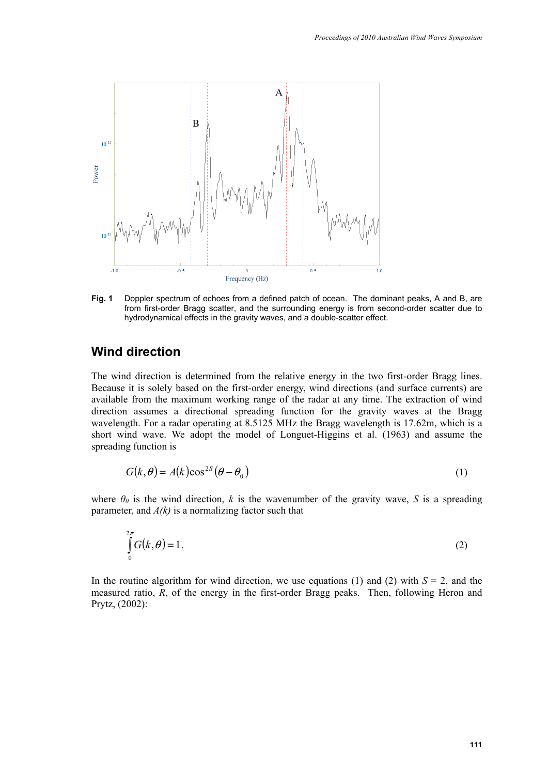

**Fig. 1** Doppler spectrum of echoes from a defined patch of ocean. The dominant peaks, A and B, are from first-order Bragg scatter, and the surrounding energy is from second-order scatter due to hydrodynamical effects in the gravity waves, and a double-scatter effect.

## **Wind direction**

The wind direction is determined from the relative energy in the two first-order Bragg lines. Because it is solely based on the first-order energy, wind directions (and surface currents) are available from the maximum working range of the radar at any time. The extraction of wind direction assumes a directional spreading function for the gravity waves at the Bragg wavelength. For a radar operating at 8.5125 MHz the Bragg wavelength is 17.62m, which is a short wind wave. We adopt the model of Longuet-Higgins et al. (1963) and assume the spreading function is

$$
G(k, \theta) = A(k)\cos^{2S}(\theta - \theta_0)
$$
 (1)

where  $\theta_0$  is the wind direction, *k* is the wavenumber of the gravity wave, *S* is a spreading parameter, and *A(k)* is a normalizing factor such that

$$
\int_{0}^{2\pi} G(k,\theta) = 1.
$$
 (2)

In the routine algorithm for wind direction, we use equations (1) and (2) with  $S = 2$ , and the measured ratio, *R*, of the energy in the first-order Bragg peaks. Then, following Heron and Prytz, (2002):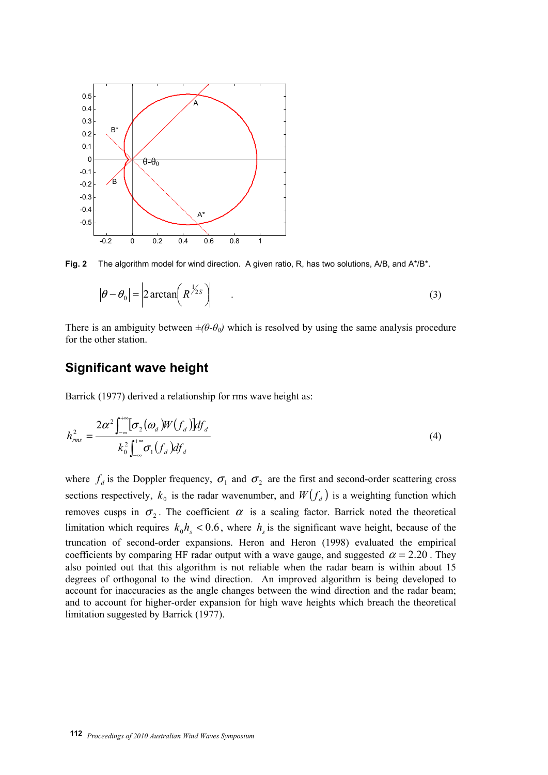

**Fig. 2** The algorithm model for wind direction. A given ratio, R, has two solutions, A/B, and A\*/B\*.

$$
|\theta - \theta_0| = 2 \arctan\left(R^{\frac{1}{2s}}\right)
$$
 (3)

There is an ambiguity between  $\pm(\theta-\theta_0)$  which is resolved by using the same analysis procedure for the other station.

## **Significant wave height**

Barrick (1977) derived a relationship for rms wave height as:

$$
h_{rms}^{2} = \frac{2\alpha^{2} \int_{-\infty}^{+\infty} [\sigma_{2}(\omega_{d})W(f_{d})] df_{d}}{k_{0}^{2} \int_{-\infty}^{+\infty} \sigma_{1}(f_{d}) df_{d}}
$$
(4)

where  $f_d$  is the Doppler frequency,  $\sigma_1$  and  $\sigma_2$  are the first and second-order scattering cross sections respectively,  $k_0$  is the radar wavenumber, and  $W(f_d)$  is a weighting function which removes cusps in  $\sigma_2$ . The coefficient  $\alpha$  is a scaling factor. Barrick noted the theoretical limitation which requires  $k_0 h_s < 0.6$ , where  $h_s$  is the significant wave height, because of the truncation of second-order expansions. Heron and Heron (1998) evaluated the empirical coefficients by comparing HF radar output with a wave gauge, and suggested  $\alpha = 2.20$ . They also pointed out that this algorithm is not reliable when the radar beam is within about 15 degrees of orthogonal to the wind direction. An improved algorithm is being developed to account for inaccuracies as the angle changes between the wind direction and the radar beam; and to account for higher-order expansion for high wave heights which breach the theoretical limitation suggested by Barrick (1977).